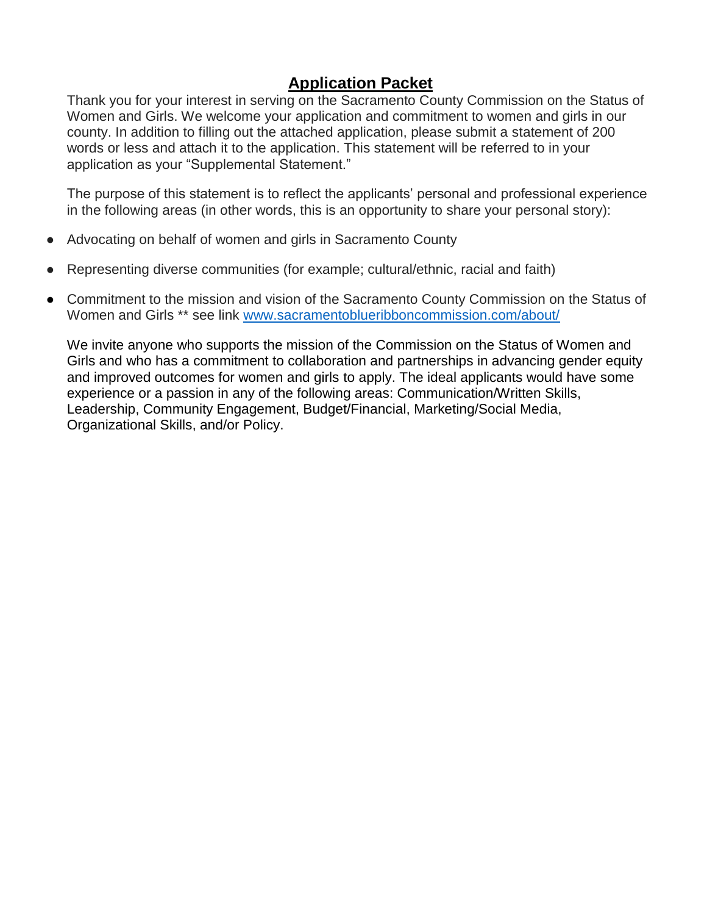### **Application Packet**

Thank you for your interest in serving on the Sacramento County Commission on the Status of Women and Girls. We welcome your application and commitment to women and girls in our county. In addition to filling out the attached application, please submit a statement of 200 words or less and attach it to the application. This statement will be referred to in your application as your "Supplemental Statement."

The purpose of this statement is to reflect the applicants' personal and professional experience in the following areas (in other words, this is an opportunity to share your personal story):

- Advocating on behalf of women and girls in Sacramento County
- Representing diverse communities (for example; cultural/ethnic, racial and faith)
- Commitment to the mission and vision of the Sacramento County Commission on the Status of Women and Girls \*\* see link [www.sacramentoblueribboncommission.com/about/](http://www.sacramentoblueribboncommission.com/about/)

We invite anyone who supports the mission of the Commission on the Status of Women and Girls and who has a commitment to collaboration and partnerships in advancing gender equity and improved outcomes for women and girls to apply. The ideal applicants would have some experience or a passion in any of the following areas: Communication/Written Skills, Leadership, Community Engagement, Budget/Financial, Marketing/Social Media, Organizational Skills, and/or Policy.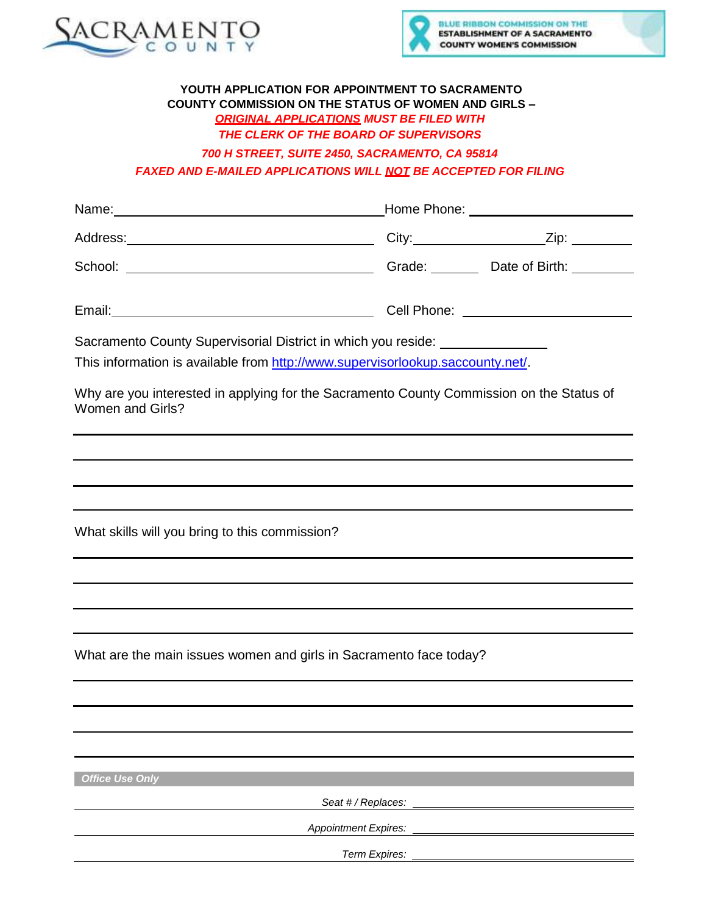



#### **YOUTH APPLICATION FOR APPOINTMENT TO SACRAMENTO COUNTY COMMISSION ON THE STATUS OF WOMEN AND GIRLS –** *ORIGINAL APPLICATIONS MUST BE FILED WITH THE CLERK OF THE BOARD OF SUPERVISORS*

*700 H STREET, SUITE 2450, SACRAMENTO, CA 95814 FAXED AND E-MAILED APPLICATIONS WILL NOT BE ACCEPTED FOR FILING*

| Name: Name and the second state of the second state of the second state of the second state of the second state of the second state of the second state of the second state of the second state of the second state of the sec                                 | Home Phone: __________________________            |
|----------------------------------------------------------------------------------------------------------------------------------------------------------------------------------------------------------------------------------------------------------------|---------------------------------------------------|
|                                                                                                                                                                                                                                                                | City:____________________________Zip: ___________ |
|                                                                                                                                                                                                                                                                |                                                   |
|                                                                                                                                                                                                                                                                |                                                   |
| Sacramento County Supervisorial District in which you reside: __________________<br>This information is available from http://www.supervisorlookup.saccounty.net/.<br>Why are you interested in applying for the Sacramento County Commission on the Status of |                                                   |
| <b>Women and Girls?</b>                                                                                                                                                                                                                                        |                                                   |
|                                                                                                                                                                                                                                                                |                                                   |
|                                                                                                                                                                                                                                                                |                                                   |
|                                                                                                                                                                                                                                                                |                                                   |
| What skills will you bring to this commission?                                                                                                                                                                                                                 |                                                   |
|                                                                                                                                                                                                                                                                |                                                   |
|                                                                                                                                                                                                                                                                |                                                   |
|                                                                                                                                                                                                                                                                |                                                   |
| What are the main issues women and girls in Sacramento face today?                                                                                                                                                                                             |                                                   |
|                                                                                                                                                                                                                                                                |                                                   |
|                                                                                                                                                                                                                                                                |                                                   |
|                                                                                                                                                                                                                                                                |                                                   |
| <b>Office Use Only</b>                                                                                                                                                                                                                                         |                                                   |
| Seat # / Replaces:                                                                                                                                                                                                                                             |                                                   |
| <b>Appointment Expires:</b>                                                                                                                                                                                                                                    |                                                   |

*Term Expires:*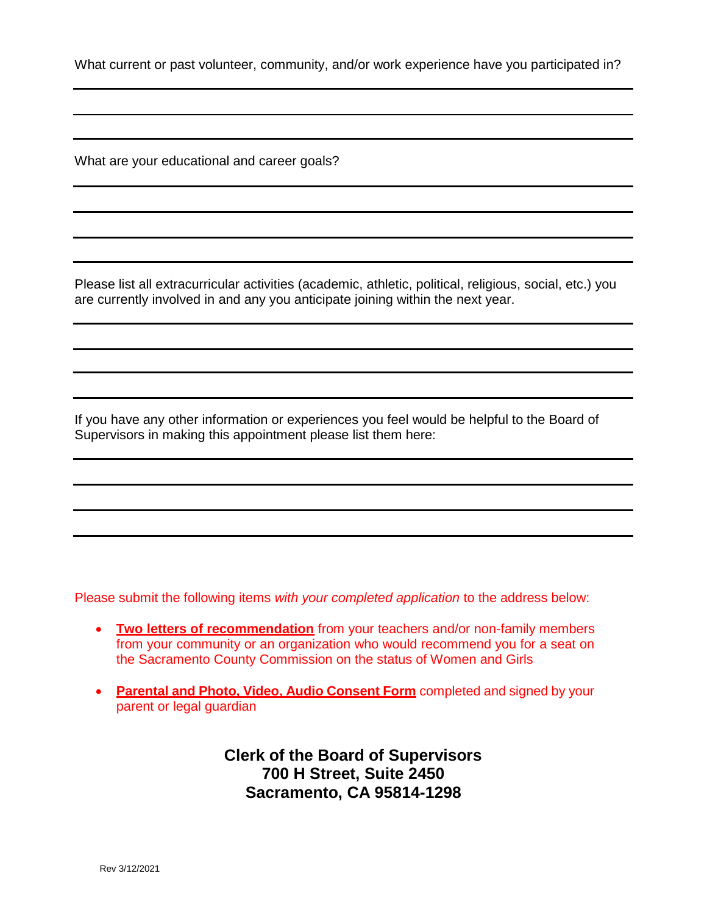What current or past volunteer, community, and/or work experience have you participated in?

What are your educational and career goals?

Please list all extracurricular activities (academic, athletic, political, religious, social, etc.) you are currently involved in and any you anticipate joining within the next year.

If you have any other information or experiences you feel would be helpful to the Board of Supervisors in making this appointment please list them here:

Please submit the following items *with your completed application* to the address below:

- **Two letters of recommendation** from your teachers and/or non-family members from your community or an organization who would recommend you for a seat on the Sacramento County Commission on the status of Women and Girls
- **Parental and Photo, Video, Audio Consent Form** completed and signed by your parent or legal guardian

**Clerk of the Board of Supervisors 700 H Street, Suite 2450 Sacramento, CA 95814-1298**